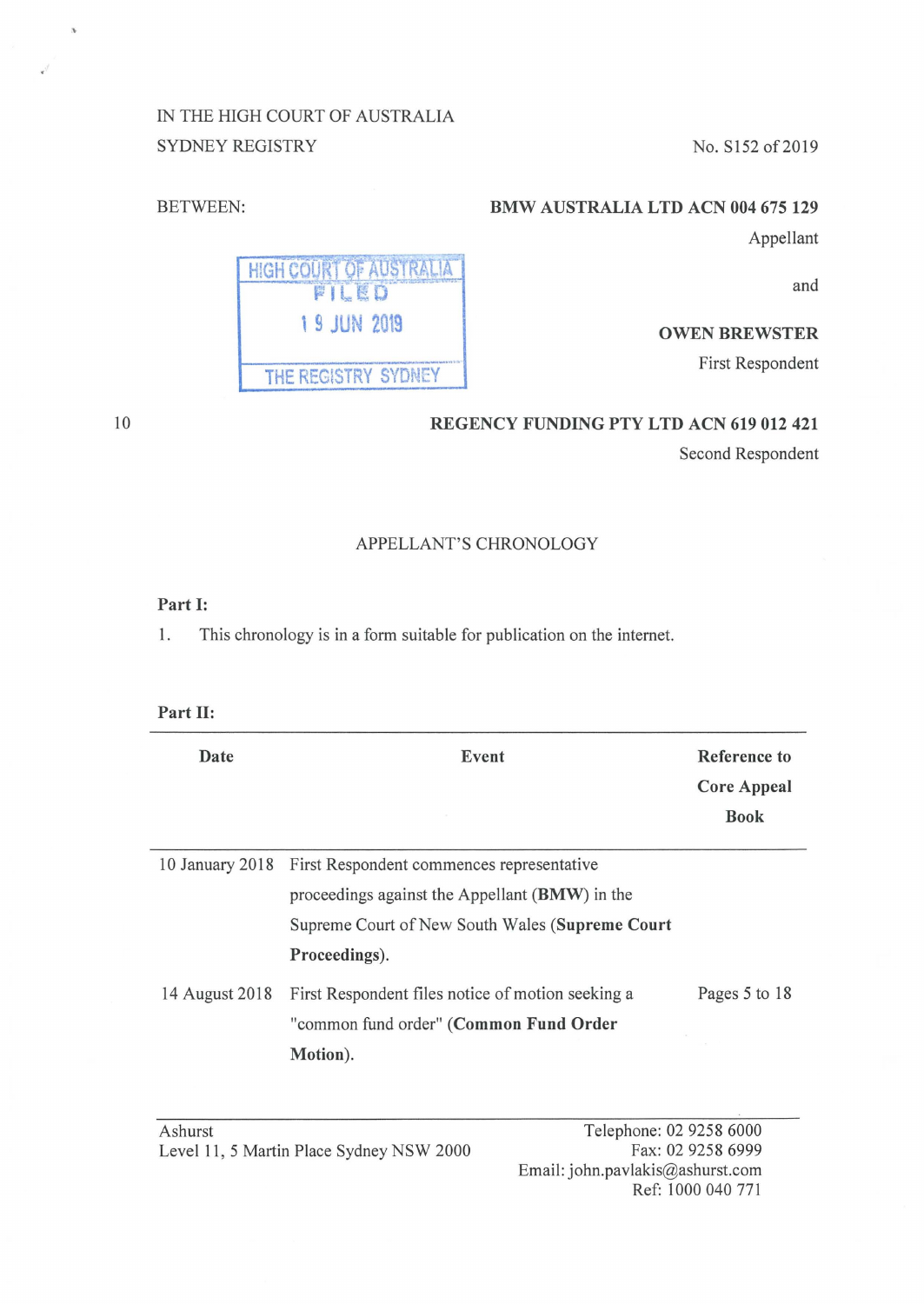# IN THE HIGH COURT OF AUSTRALIA SYDNEY REGISTRY No. S152 of 2019

THE REGISTRY SYDNEY

HIGH COURT OF AUSTRALIA FILED 1 9 JUN 2019

### BETWEEN: **BMW AUSTRALIA LTD ACN 004 675 129**

Appellant

and

#### **OWEN BREWSTER**

First Respondent

**REGENCY FUNDING PTY LTD ACN 619 012 421** 

Second Respondent

#### APPELLANT'S CHRONOLOGY

## **Part** I:

1. This chronology is in a form suitable for publication on the internet.

#### **Part** II:

| Date           | Event                                                                                                                                                                           | Reference to<br><b>Core Appeal</b><br><b>Book</b> |
|----------------|---------------------------------------------------------------------------------------------------------------------------------------------------------------------------------|---------------------------------------------------|
|                | 10 January 2018 First Respondent commences representative<br>proceedings against the Appellant (BMW) in the<br>Supreme Court of New South Wales (Supreme Court<br>Proceedings). |                                                   |
| 14 August 2018 | First Respondent files notice of motion seeking a<br>"common fund order" (Common Fund Order<br>Motion).                                                                         | Pages 5 to 18                                     |

Telephone: 02 9258 6000 Fax: 02 9258 6999 Email: john.pavlakis@ashurst.com Ref: 1000 040 771

10

 $\bar{v}$